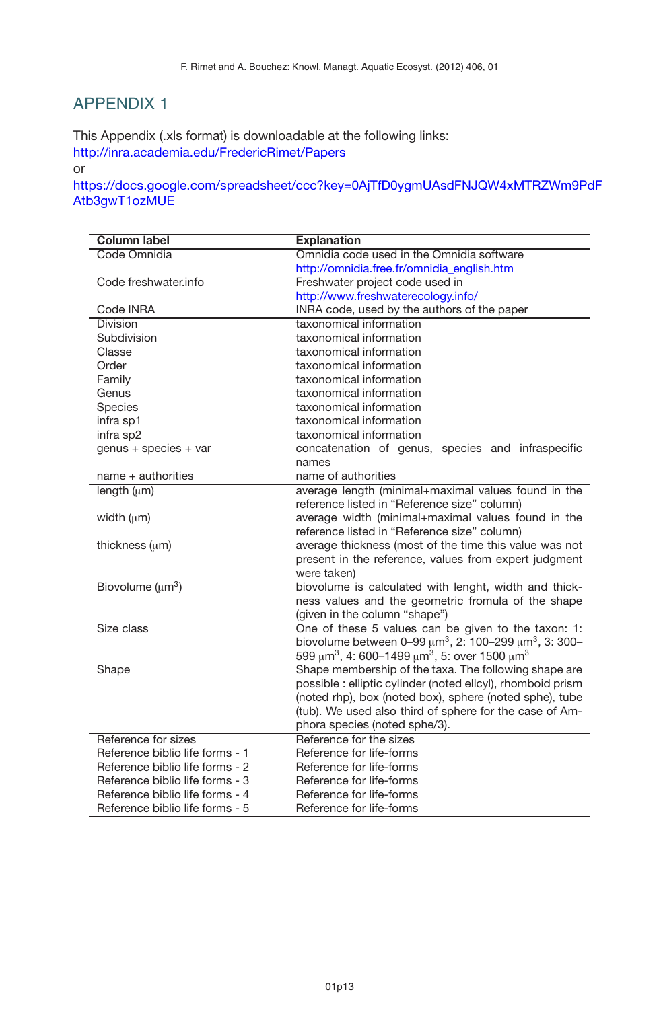## APPENDIX 1

This Appendix (.xls format) is downloadable at the following links: http://inra.academia.edu/FredericRimet/Papers

or

https://docs.google.com/spreadsheet/ccc?key=0AjTfD0ygmUAsdFNJQW4xMTRZWm9PdF Atb3gwT1ozMUE

| <b>Column label</b>             | <b>Explanation</b>                                                                      |
|---------------------------------|-----------------------------------------------------------------------------------------|
| Code Omnidia                    | Omnidia code used in the Omnidia software                                               |
|                                 | http://omnidia.free.fr/omnidia_english.htm                                              |
| Code freshwater.info            | Freshwater project code used in                                                         |
|                                 | http://www.freshwaterecology.info/                                                      |
| Code INRA                       | INRA code, used by the authors of the paper                                             |
| <b>Division</b>                 | taxonomical information                                                                 |
| Subdivision                     | taxonomical information                                                                 |
| Classe                          | taxonomical information                                                                 |
| Order                           | taxonomical information                                                                 |
| Family                          | taxonomical information                                                                 |
| Genus                           | taxonomical information                                                                 |
| Species                         | taxonomical information                                                                 |
| infra sp1                       | taxonomical information                                                                 |
| infra sp2                       | taxonomical information                                                                 |
| genus + species + var           | concatenation of genus, species and infraspecific                                       |
|                                 | names                                                                                   |
| name + authorities              | name of authorities                                                                     |
| length $(\mu m)$                | average length (minimal+maximal values found in the                                     |
|                                 | reference listed in "Reference size" column)                                            |
| width $(\mu m)$                 | average width (minimal+maximal values found in the                                      |
|                                 | reference listed in "Reference size" column)                                            |
| thickness $(\mu m)$             | average thickness (most of the time this value was not                                  |
|                                 | present in the reference, values from expert judgment                                   |
|                                 | were taken)                                                                             |
| Biovolume $(\mu m^3)$           | biovolume is calculated with lenght, width and thick-                                   |
|                                 | ness values and the geometric fromula of the shape                                      |
|                                 | (given in the column "shape")                                                           |
| Size class                      | One of these 5 values can be given to the taxon: 1:                                     |
|                                 | biovolume between 0-99 $\mu$ m <sup>3</sup> , 2: 100-299 $\mu$ m <sup>3</sup> , 3: 300- |
|                                 | 599 μm <sup>3</sup> , 4: 600-1499 μm <sup>3</sup> , 5: over 1500 μm <sup>3</sup>        |
| Shape                           | Shape membership of the taxa. The following shape are                                   |
|                                 | possible : elliptic cylinder (noted ellcyl), rhomboid prism                             |
|                                 | (noted rhp), box (noted box), sphere (noted sphe), tube                                 |
|                                 | (tub). We used also third of sphere for the case of Am-                                 |
|                                 | phora species (noted sphe/3).                                                           |
| Reference for sizes             | Reference for the sizes                                                                 |
| Reference biblio life forms - 1 | Reference for life-forms                                                                |
| Reference biblio life forms - 2 | Reference for life-forms                                                                |
| Reference biblio life forms - 3 | Reference for life-forms                                                                |
| Reference biblio life forms - 4 | Reference for life-forms                                                                |
| Reference biblio life forms - 5 | Reference for life-forms                                                                |